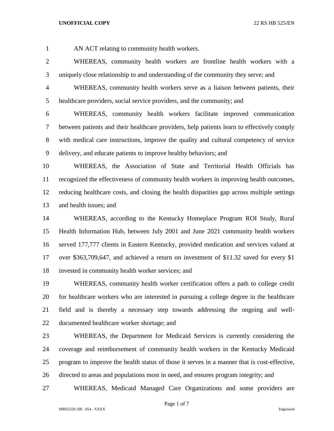AN ACT relating to community health workers.

 WHEREAS, community health workers are frontline health workers with a uniquely close relationship to and understanding of the community they serve; and

 WHEREAS, community health workers serve as a liaison between patients, their healthcare providers, social service providers, and the community; and

 WHEREAS, community health workers facilitate improved communication between patients and their healthcare providers, help patients learn to effectively comply with medical care instructions, improve the quality and cultural competency of service delivery, and educate patients to improve healthy behaviors; and

 WHEREAS, the Association of State and Territorial Health Officials has recognized the effectiveness of community health workers in improving health outcomes, reducing healthcare costs, and closing the health disparities gap across multiple settings and health issues; and

 WHEREAS, according to the Kentucky Homeplace Program ROI Study, Rural Health Information Hub, between July 2001 and June 2021 community health workers served 177,777 clients in Eastern Kentucky, provided medication and services valued at over \$363,709,647, and achieved a return on investment of \$11.32 saved for every \$1 invested in community health worker services; and

 WHEREAS, community health worker certification offers a path to college credit for healthcare workers who are interested in pursuing a college degree in the healthcare field and is thereby a necessary step towards addressing the ongoing and well-documented healthcare worker shortage; and

 WHEREAS, the Department for Medicaid Services is currently considering the coverage and reimbursement of community health workers in the Kentucky Medicaid program to improve the health status of those it serves in a manner that is cost-effective, directed to areas and populations most in need, and ensures program integrity; and

WHEREAS, Medicaid Managed Care Organizations and some providers are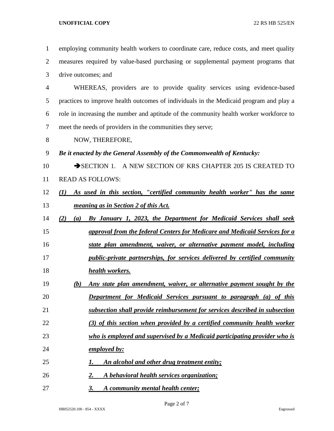employing community health workers to coordinate care, reduce costs, and meet quality measures required by value-based purchasing or supplemental payment programs that drive outcomes; and WHEREAS, providers are to provide quality services using evidence-based practices to improve health outcomes of individuals in the Medicaid program and play a role in increasing the number and aptitude of the community health worker workforce to meet the needs of providers in the communities they serve; NOW, THEREFORE, *Be it enacted by the General Assembly of the Commonwealth of Kentucky:* 10 SECTION 1. A NEW SECTION OF KRS CHAPTER 205 IS CREATED TO READ AS FOLLOWS: *(1) As used in this section, "certified community health worker" has the same meaning as in Section 2 of this Act. (2) (a) By January 1, 2023, the Department for Medicaid Services shall seek approval from the federal Centers for Medicare and Medicaid Services for a state plan amendment, waiver, or alternative payment model, including public-private partnerships, for services delivered by certified community health workers. (b) Any state plan amendment, waiver, or alternative payment sought by the Department for Medicaid Services pursuant to paragraph (a) of this subsection shall provide reimbursement for services described in subsection (3) of this section when provided by a certified community health worker who is employed and supervised by a Medicaid participating provider who is employed by: 1. An alcohol and other drug treatment entity; 2. A behavioral health services organization;*

*3. A community mental health center;*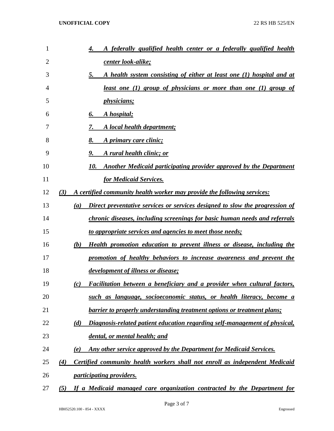| 1  | A federally qualified health center or a federally qualified health<br>4.                        |
|----|--------------------------------------------------------------------------------------------------|
| 2  | <u>center look-alike;</u>                                                                        |
| 3  | A health system consisting of either at least one (1) hospital and at<br>5.                      |
| 4  | least one (1) group of physicians or more than one (1) group of                                  |
| 5  | <i>physicians;</i>                                                                               |
| 6  | A hospital;<br>6.                                                                                |
| 7  | A local health department;<br>7.                                                                 |
| 8  | 8.<br>A primary care clinic;                                                                     |
| 9  | A rural health clinic; or<br>9.                                                                  |
| 10 | Another Medicaid participating provider approved by the Department<br>10.                        |
| 11 | for Medicaid Services.                                                                           |
| 12 | (3)<br>A certified community health worker may provide the following services:                   |
| 13 | Direct preventative services or services designed to slow the progression of<br>$\left(a\right)$ |
| 14 | chronic diseases, including screenings for basic human needs and referrals                       |
| 15 | to appropriate services and agencies to meet those needs;                                        |
| 16 | <b>Health promotion education to prevent illness or disease, including the</b><br>(b)            |
| 17 | promotion of healthy behaviors to increase awareness and prevent the                             |
| 18 | <u>development of illness or disease;</u>                                                        |
| 19 | Facilitation between a beneficiary and a provider when cultural factors,<br>(c)                  |
| 20 | such as language, socioeconomic status, or health literacy, become a                             |
| 21 | barrier to properly understanding treatment options or treatment plans;                          |
| 22 | Diagnosis-related patient education regarding self-management of physical,<br>(d)                |
| 23 | dental, or mental health; and                                                                    |
| 24 | Any other service approved by the Department for Medicaid Services.<br>(e)                       |
| 25 | Certified community health workers shall not enroll as independent Medicaid<br>$\left( 4\right)$ |
| 26 | <i>participating providers.</i>                                                                  |
| 27 | If a Medicaid managed care organization contracted by the Department for<br>(5)                  |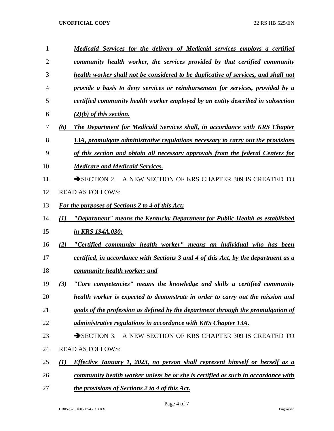| 1              | <u>Medicaid Services for the delivery of Medicaid services employs a certified</u>                      |
|----------------|---------------------------------------------------------------------------------------------------------|
| $\overline{2}$ | community health worker, the services provided by that certified community                              |
| 3              | health worker shall not be considered to be duplicative of services, and shall not                      |
| 4              | provide a basis to deny services or reimbursement for services, provided by a                           |
| 5              | certified community health worker employed by an entity described in subsection                         |
| 6              | $(2)(b)$ of this section.                                                                               |
| 7              | The Department for Medicaid Services shall, in accordance with KRS Chapter<br>(6)                       |
| 8              | 13A, promulgate administrative regulations necessary to carry out the provisions                        |
| 9              | of this section and obtain all necessary approvals from the federal Centers for                         |
| 10             | <b>Medicare and Medicaid Services.</b>                                                                  |
| 11             | A NEW SECTION OF KRS CHAPTER 309 IS CREATED TO<br>$\rightarrow$ SECTION 2.                              |
| 12             | <b>READ AS FOLLOWS:</b>                                                                                 |
| 13             | For the purposes of Sections 2 to 4 of this Act:                                                        |
| 14             | "Department" means the Kentucky Department for Public Health as established<br>(1)                      |
| 15             | <u>in KRS 194A.030;</u>                                                                                 |
| 16             | "Certified community health worker" means an individual who has been<br>(2)                             |
| 17             | certified, in accordance with Sections 3 and 4 of this Act, by the department as a                      |
| 18             | community health worker; and                                                                            |
| 19             | "Core competencies" means the knowledge and skills a certified community<br>(3)                         |
| 20             | health worker is expected to demonstrate in order to carry out the mission and                          |
| 21             | goals of the profession as defined by the department through the promulgation of                        |
| 22             | administrative regulations in accordance with KRS Chapter 13A.                                          |
| 23             | $\rightarrow$ SECTION 3.<br>A NEW SECTION OF KRS CHAPTER 309 IS CREATED TO                              |
| 24             | <b>READ AS FOLLOWS:</b>                                                                                 |
| 25             | <b>Effective January 1, 2023, no person shall represent himself or herself as a</b><br>$\mathcal{L}(I)$ |
| 26             | community health worker unless he or she is certified as such in accordance with                        |
| 27             | the provisions of Sections 2 to 4 of this Act.                                                          |

Page 4 of 7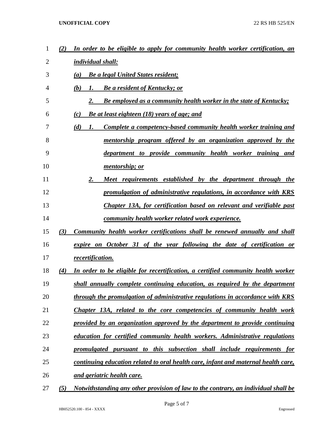| 1  | (2) | In order to be eligible to apply for community health worker certification, an     |
|----|-----|------------------------------------------------------------------------------------|
| 2  |     | individual shall:                                                                  |
| 3  |     | <b>Be a legal United States resident;</b><br>(a)                                   |
| 4  |     | <b>Be a resident of Kentucky; or</b><br>(b)<br>1.                                  |
| 5  |     | <b>Be employed as a community health worker in the state of Kentucky;</b><br>2.    |
| 6  |     | (c)<br>Be at least eighteen (18) years of age; and                                 |
| 7  |     | (d)<br>Complete a competency-based community health worker training and<br>1.      |
| 8  |     | mentorship program offered by an organization approved by the                      |
| 9  |     | department to provide community health worker training and                         |
| 10 |     | mentorship; or                                                                     |
| 11 |     | 2.<br>Meet requirements established by the department through the                  |
| 12 |     | promulgation of administrative regulations, in accordance with KRS                 |
| 13 |     | Chapter 13A, for certification based on relevant and verifiable past               |
| 14 |     | <u>community health worker related work experience.</u>                            |
| 15 | (3) | Community health worker certifications shall be renewed annually and shall         |
| 16 |     | expire on October 31 of the year following the date of certification or            |
| 17 |     | recertification.                                                                   |
| 18 | (4) | In order to be eligible for recertification, a certified community health worker   |
| 19 |     | shall annually complete continuing education, as required by the department        |
| 20 |     | through the promulgation of administrative regulations in accordance with KRS      |
| 21 |     | Chapter 13A, related to the core competencies of community health work             |
| 22 |     | provided by an organization approved by the department to provide continuing       |
| 23 |     | education for certified community health workers. Administrative regulations       |
| 24 |     | promulgated pursuant to this subsection shall include requirements for             |
| 25 |     | continuing education related to oral health care, infant and maternal health care, |
| 26 |     | and geriatric health care.                                                         |
| 27 | (5) | Notwithstanding any other provision of law to the contrary, an individual shall be |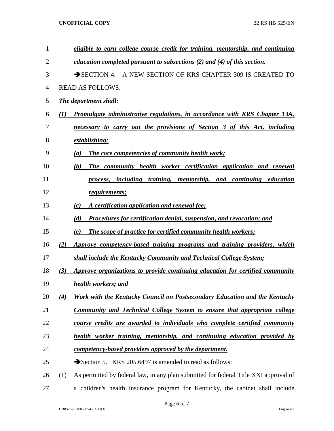| $\mathbf{1}$   |     | eligible to earn college course credit for training, mentorship, and continuing      |
|----------------|-----|--------------------------------------------------------------------------------------|
| $\overline{2}$ |     | <i>education completed pursuant to subsections (2) and (4) of this section.</i>      |
| 3              |     | SECTION 4. A NEW SECTION OF KRS CHAPTER 309 IS CREATED TO                            |
| $\overline{4}$ |     | <b>READ AS FOLLOWS:</b>                                                              |
| 5              |     | <b>The department shall:</b>                                                         |
| 6              | (I) | <b>Promulgate administrative regulations, in accordance with KRS Chapter 13A,</b>    |
| $\overline{7}$ |     | necessary to carry out the provisions of Section 3 of this Act, including            |
| 8              |     | establishing:                                                                        |
| 9              |     | <b>The core competencies of community health work;</b><br>(a)                        |
| 10             |     | The community health worker certification application and renewal<br>(b)             |
| 11             |     | process, including training, mentorship, and continuing education                    |
| 12             |     | requirements;                                                                        |
| 13             |     | A certification application and renewal fee;<br>(c)                                  |
| 14             |     | Procedures for certification denial, suspension, and revocation; and<br>(d)          |
| 15             |     | <b>The scope of practice for certified community health workers;</b><br>(e)          |
| 16             | (2) | Approve competency-based training programs and training providers, which             |
| 17             |     | shall include the Kentucky Community and Technical College System;                   |
| 18             | (3) | Approve organizations to provide continuing education for certified community        |
| 19             |     | health workers; and                                                                  |
| 20             | (4) | Work with the Kentucky Council on Postsecondary Education and the Kentucky           |
| 21             |     | <b>Community and Technical College System to ensure that appropriate college</b>     |
| 22             |     | course credits are awarded to individuals who complete certified community           |
| 23             |     | health worker training, mentorship, and continuing education provided by             |
| 24             |     | competency-based providers approved by the department.                               |
| 25             |     | Section 5. KRS 205.6497 is amended to read as follows:                               |
| 26             | (1) | As permitted by federal law, in any plan submitted for federal Title XXI approval of |
| 27             |     | a children's health insurance program for Kentucky, the cabinet shall include        |

Page 6 of 7